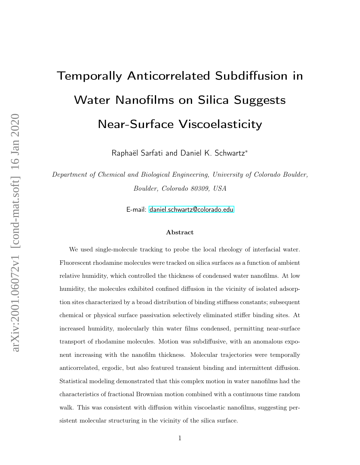# Temporally Anticorrelated Subdiffusion in Water Nanofilms on Silica Suggests Near-Surface Viscoelasticity

Raphaël Sarfati and Daniel K. Schwartz<sup>∗</sup>

Department of Chemical and Biological Engineering, University of Colorado Boulder, Boulder, Colorado 80309, USA

E-mail:<daniel.schwartz@colorado.edu>

#### Abstract

We used single-molecule tracking to probe the local rheology of interfacial water. Fluorescent rhodamine molecules were tracked on silica surfaces as a function of ambient relative humidity, which controlled the thickness of condensed water nanofilms. At low humidity, the molecules exhibited confined diffusion in the vicinity of isolated adsorption sites characterized by a broad distribution of binding stiffness constants; subsequent chemical or physical surface passivation selectively eliminated stiffer binding sites. At increased humidity, molecularly thin water films condensed, permitting near-surface transport of rhodamine molecules. Motion was subdiffusive, with an anomalous exponent increasing with the nanofilm thickness. Molecular trajectories were temporally anticorrelated, ergodic, but also featured transient binding and intermittent diffusion. Statistical modeling demonstrated that this complex motion in water nanofilms had the characteristics of fractional Brownian motion combined with a continuous time random walk. This was consistent with diffusion within viscoelastic nanofilms, suggesting persistent molecular structuring in the vicinity of the silica surface.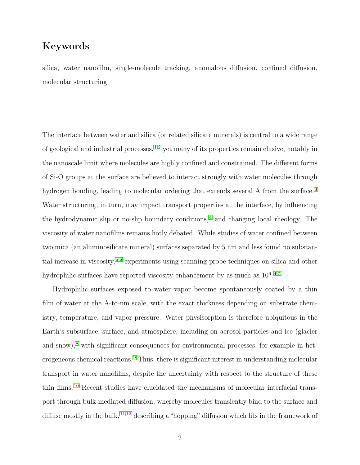## Keywords

silica, water nanofilm, single-molecule tracking, anomalous diffusion, confined diffusion, molecular structuring

The interface between water and silica (or related silicate minerals) is central to a wide range of geological and industrial processes,  $^{1,2}$  $^{1,2}$  $^{1,2}$  $^{1,2}$  yet many of its properties remain elusive, notably in the nanoscale limit where molecules are highly confined and constrained. The different forms of Si-O groups at the surface are believed to interact strongly with water molecules through hydrogen bonding, leading to molecular ordering that extends several Å from the surface.<sup>[3](#page-17-2)</sup> Water structuring, in turn, may impact transport properties at the interface, by influencing the hydrodynamic slip or no-slip boundary conditions, [4](#page-17-3) and changing local rheology. The viscosity of water nanofilms remains hotly debated. While studies of water confined between two mica (an aluminosilicate mineral) surfaces separated by 5 nm and less found no substantial increase in viscosity, [5](#page-17-4)[,6](#page-17-5) experiments using scanning-probe techniques on silica and other hydrophilic surfaces have reported viscosity enhancement by as much as  $10^6$ .<sup>[4,](#page-17-3)[7](#page-17-6)</sup>

Hydrophilic surfaces exposed to water vapor become spontaneously coated by a thin film of water at the Å-to-nm scale, with the exact thickness depending on substrate chemistry, temperature, and vapor pressure. Water physisorption is therefore ubiquitous in the Earth's subsurface, surface, and atmosphere, including on aerosol particles and ice (glacier and snow),<sup>[8](#page-17-7)</sup> with significant consequences for environmental processes, for example in heterogeneous chemical reactions. [9](#page-18-0) Thus, there is significant interest in understanding molecular transport in water nanofilms, despite the uncertainty with respect to the structure of these thin films. [10](#page-18-1) Recent studies have elucidated the mechanisms of molecular interfacial transport through bulk-mediated diffusion, whereby molecules transiently bind to the surface and diffuse mostly in the bulk, <sup>[11,](#page-18-2)[12](#page-18-3)</sup> describing a "hopping" diffusion which fits in the framework of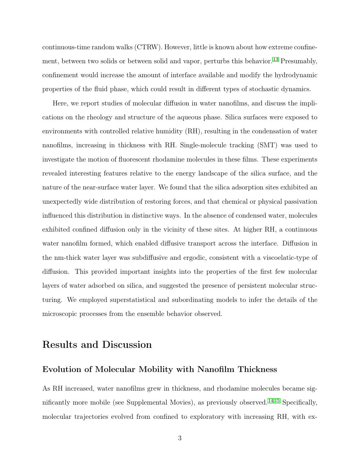continuous-time random walks (CTRW). However, little is known about how extreme confine-ment, between two solids or between solid and vapor, perturbs this behavior.<sup>[13](#page-18-4)</sup> Presumably, confinement would increase the amount of interface available and modify the hydrodynamic properties of the fluid phase, which could result in different types of stochastic dynamics.

Here, we report studies of molecular diffusion in water nanofilms, and discuss the implications on the rheology and structure of the aqueous phase. Silica surfaces were exposed to environments with controlled relative humidity (RH), resulting in the condensation of water nanofilms, increasing in thickness with RH. Single-molecule tracking (SMT) was used to investigate the motion of fluorescent rhodamine molecules in these films. These experiments revealed interesting features relative to the energy landscape of the silica surface, and the nature of the near-surface water layer. We found that the silica adsorption sites exhibited an unexpectedly wide distribution of restoring forces, and that chemical or physical passivation influenced this distribution in distinctive ways. In the absence of condensed water, molecules exhibited confined diffusion only in the vicinity of these sites. At higher RH, a continuous water nanofilm formed, which enabled diffusive transport across the interface. Diffusion in the nm-thick water layer was subdiffusive and ergodic, consistent with a viscoelatic-type of diffusion. This provided important insights into the properties of the first few molecular layers of water adsorbed on silica, and suggested the presence of persistent molecular structuring. We employed superstatistical and subordinating models to infer the details of the microscopic processes from the ensemble behavior observed.

## Results and Discussion

#### Evolution of Molecular Mobility with Nanofilm Thickness

As RH increased, water nanofilms grew in thickness, and rhodamine molecules became significantly more mobile (see Supplemental Movies), as previously observed. [14](#page-18-5)[,15](#page-18-6) Specifically, molecular trajectories evolved from confined to exploratory with increasing RH, with ex-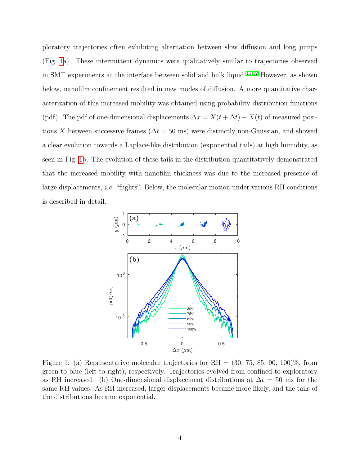ploratory trajectories often exhibiting alternation between slow diffusion and long jumps (Fig. [1a](#page-3-0)). These intermittent dynamics were qualitatively similar to trajectories observed in SMT experiments at the interface between solid and bulk liquid. [11,](#page-18-2)[12](#page-18-3) However, as shown below, nanofilm confinement resulted in new modes of diffusion. A more quantitative characterization of this increased mobility was obtained using probability distribution functions (pdf). The pdf of one-dimensional displacements  $\Delta x = X(t + \Delta t) - X(t)$  of measured positions X between successive frames ( $\Delta t = 50$  ms) were distinctly non-Gaussian, and showed a clear evolution towards a Laplace-like distribution (exponential tails) at high humidity, as seen in Fig. [1b](#page-3-0). The evolution of these tails in the distribution quantitatively demonstrated that the increased mobility with nanofilm thickness was due to the increased presence of large displacements, i.e. "flights". Below, the molecular motion under various RH conditions is described in detail.

<span id="page-3-0"></span>

Figure 1: (a) Representative molecular trajectories for RH =  $(30, 75, 85, 90, 100)\%$ , from green to blue (left to right), respectively. Trajectories evolved from confined to exploratory as RH increased. (b) One-dimensional displacement distributions at  $\Delta t = 50$  ms for the same RH values. As RH increased, larger displacements became more likely, and the tails of the distributions became exponential.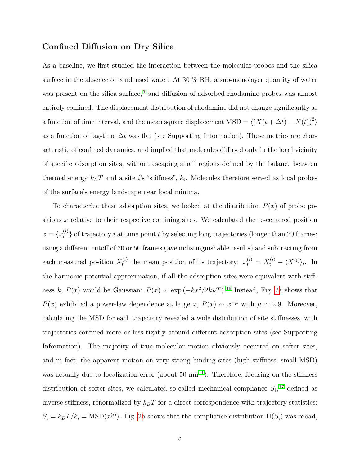### Confined Diffusion on Dry Silica

As a baseline, we first studied the interaction between the molecular probes and the silica surface in the absence of condensed water. At 30 % RH, a sub-monolayer quantity of water was present on the silica surface,<sup>[9](#page-18-0)</sup> and diffusion of adsorbed rhodamine probes was almost entirely confined. The displacement distribution of rhodamine did not change significantly as a function of time interval, and the mean square displacement MSD =  $\langle (X(t + \Delta t) - X(t))^2 \rangle$ as a function of lag-time  $\Delta t$  was flat (see Supporting Information). These metrics are characteristic of confined dynamics, and implied that molecules diffused only in the local vicinity of specific adsorption sites, without escaping small regions defined by the balance between thermal energy  $k_B T$  and a site i's "stiffness",  $k_i$ . Molecules therefore served as local probes of the surface's energy landscape near local minima.

To characterize these adsorption sites, we looked at the distribution  $P(x)$  of probe positions  $x$  relative to their respective confining sites. We calculated the re-centered position  $x = \{x_t^{(i)}\}$  of trajectory i at time point t by selecting long trajectories (longer than 20 frames; using a different cutoff of 30 or 50 frames gave indistinguishable results) and subtracting from each measured position  $X_t^{(i)}$ <sup>(i)</sup> the mean position of its trajectory:  $x_t^{(i)} = X_t^{(i)} - \langle X^{(i)} \rangle_t$ . In the harmonic potential approximation, if all the adsorption sites were equivalent with stiffness k,  $P(x)$  would be Gaussian:  $P(x) \sim \exp(-kx^2/2k_BT)$ .<sup>[16](#page-18-7)</sup> Instead, Fig. [2a](#page-6-0) shows that  $P(x)$  exhibited a power-law dependence at large x,  $P(x) \sim x^{-\mu}$  with  $\mu \simeq 2.9$ . Moreover, calculating the MSD for each trajectory revealed a wide distribution of site stiffnesses, with trajectories confined more or less tightly around different adsorption sites (see Supporting Information). The majority of true molecular motion obviously occurred on softer sites, and in fact, the apparent motion on very strong binding sites (high stiffness, small MSD) was actually due to localization error (about 50  $\text{nm}$ <sup>[11](#page-18-2)</sup>). Therefore, focusing on the stiffness distribution of softer sites, we calculated so-called mechanical compliance  $S_i$ ,<sup>[17](#page-18-8)</sup> defined as inverse stiffness, renormalized by  $k_BT$  for a direct correspondence with trajectory statistics:  $S_i = k_B T / k_i = \text{MSD}(x^{(i)})$ . Fig. [2b](#page-6-0) shows that the compliance distribution  $\Pi(S_i)$  was broad,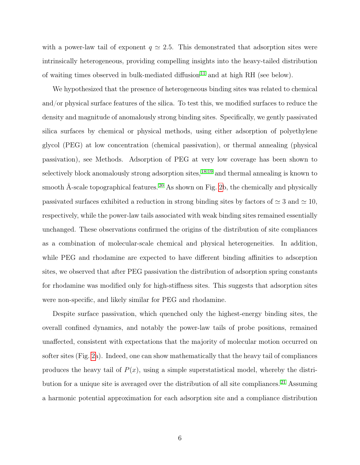with a power-law tail of exponent  $q \approx 2.5$ . This demonstrated that adsorption sites were intrinsically heterogeneous, providing compelling insights into the heavy-tailed distribution of waiting times observed in bulk-mediated diffusion<sup>[11](#page-18-2)</sup> and at high RH (see below).

We hypothesized that the presence of heterogeneous binding sites was related to chemical and/or physical surface features of the silica. To test this, we modified surfaces to reduce the density and magnitude of anomalously strong binding sites. Specifically, we gently passivated silica surfaces by chemical or physical methods, using either adsorption of polyethylene glycol (PEG) at low concentration (chemical passivation), or thermal annealing (physical passivation), see Methods. Adsorption of PEG at very low coverage has been shown to selectively block anomalously strong adsorption sites, <sup>[18](#page-18-9)[,19](#page-19-0)</sup> and thermal annealing is known to smooth Å-scale topographical features.<sup>[20](#page-19-1)</sup> As shown on Fig. [2b](#page-6-0), the chemically and physically passivated surfaces exhibited a reduction in strong binding sites by factors of  $\simeq 3$  and  $\simeq 10$ , respectively, while the power-law tails associated with weak binding sites remained essentially unchanged. These observations confirmed the origins of the distribution of site compliances as a combination of molecular-scale chemical and physical heterogeneities. In addition, while PEG and rhodamine are expected to have different binding affinities to adsorption sites, we observed that after PEG passivation the distribution of adsorption spring constants for rhodamine was modified only for high-stiffness sites. This suggests that adsorption sites were non-specific, and likely similar for PEG and rhodamine.

Despite surface passivation, which quenched only the highest-energy binding sites, the overall confined dynamics, and notably the power-law tails of probe positions, remained unaffected, consistent with expectations that the majority of molecular motion occurred on softer sites (Fig. [2a](#page-6-0)). Indeed, one can show mathematically that the heavy tail of compliances produces the heavy tail of  $P(x)$ , using a simple superstatistical model, whereby the distribution for a unique site is averaged over the distribution of all site compliances. [21](#page-19-2) Assuming a harmonic potential approximation for each adsorption site and a compliance distribution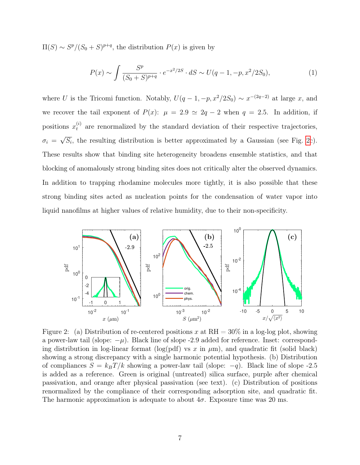$\Pi(S) \sim S^p/(S_0 + S)^{p+q}$ , the distribution  $P(x)$  is given by

$$
P(x) \sim \int \frac{S^p}{(S_0 + S)^{p+q}} \cdot e^{-x^2/2S} \cdot dS \sim U(q-1, -p, x^2/2S_0),\tag{1}
$$

where U is the Tricomi function. Notably,  $U(q-1,-p,x^2/2S_0) \sim x^{-(2q-2)}$  at large x, and we recover the tail exponent of  $P(x)$ :  $\mu = 2.9 \approx 2q - 2$  when  $q = 2.5$ . In addition, if positions  $x_t^{(i)}$  are renormalized by the standard deviation of their respective trajectories,  $\sigma_i =$ √  $\overline{S_i}$ , the resulting distribution is better approximated by a Gaussian (see Fig. [2c](#page-6-0)). These results show that binding site heterogeneity broadens ensemble statistics, and that blocking of anomalously strong binding sites does not critically alter the observed dynamics. In addition to trapping rhodamine molecules more tightly, it is also possible that these strong binding sites acted as nucleation points for the condensation of water vapor into liquid nanofilms at higher values of relative humidity, due to their non-specificity.

<span id="page-6-0"></span>

Figure 2: (a) Distribution of re-centered positions x at  $RH = 30\%$  in a log-log plot, showing a power-law tail (slope:  $-\mu$ ). Black line of slope -2.9 added for reference. Inset: corresponding distribution in log-linear format (log(pdf) vs x in  $\mu$ m), and quadratic fit (solid black) showing a strong discrepancy with a single harmonic potential hypothesis. (b) Distribution of compliances  $S = k_B T/k$  showing a power-law tail (slope:  $-q$ ). Black line of slope -2.5 is added as a reference. Green is original (untreated) silica surface, purple after chemical passivation, and orange after physical passivation (see text). (c) Distribution of positions renormalized by the compliance of their corresponding adsorption site, and quadratic fit. The harmonic approximation is adequate to about  $4\sigma$ . Exposure time was 20 ms.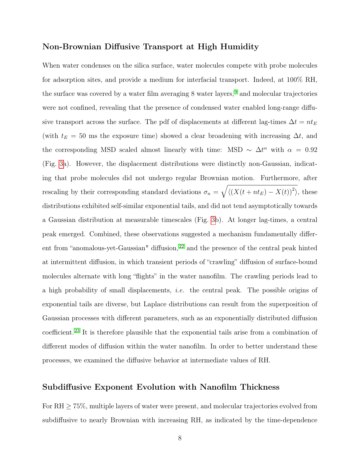#### Non-Brownian Diffusive Transport at High Humidity

When water condenses on the silica surface, water molecules compete with probe molecules for adsorption sites, and provide a medium for interfacial transport. Indeed, at 100% RH, the surface was covered by a water film averaging 8 water layers, <sup>[9](#page-18-0)</sup> and molecular trajectories were not confined, revealing that the presence of condensed water enabled long-range diffusive transport across the surface. The pdf of displacements at different lag-times  $\Delta t = nt_E$ (with  $t_E = 50$  ms the exposure time) showed a clear broadening with increasing  $\Delta t$ , and the corresponding MSD scaled almost linearly with time: MSD  $\sim \Delta t^{\alpha}$  with  $\alpha = 0.92$ (Fig. [3a](#page-8-0)). However, the displacement distributions were distinctly non-Gaussian, indicating that probe molecules did not undergo regular Brownian motion. Furthermore, after rescaling by their corresponding standard deviations  $\sigma_n = \sqrt{\langle (X(t + nt_E) - X(t))^2 \rangle}$ , these distributions exhibited self-similar exponential tails, and did not tend asymptotically towards a Gaussian distribution at measurable timescales (Fig. [3b](#page-8-0)). At longer lag-times, a central peak emerged. Combined, these observations suggested a mechanism fundamentally differ-ent from "anomalous-yet-Gaussian" diffusion, <sup>[22](#page-19-3)</sup> and the presence of the central peak hinted at intermittent diffusion, in which transient periods of "crawling" diffusion of surface-bound molecules alternate with long "flights" in the water nanofilm. The crawling periods lead to a high probability of small displacements, i.e. the central peak. The possible origins of exponential tails are diverse, but Laplace distributions can result from the superposition of Gaussian processes with different parameters, such as an exponentially distributed diffusion coefficient.[23](#page-19-4) It is therefore plausible that the exponential tails arise from a combination of different modes of diffusion within the water nanofilm. In order to better understand these processes, we examined the diffusive behavior at intermediate values of RH.

#### Subdiffusive Exponent Evolution with Nanofilm Thickness

For  $RH \geq 75\%$ , multiple layers of water were present, and molecular trajectories evolved from subdiffusive to nearly Brownian with increasing RH, as indicated by the time-dependence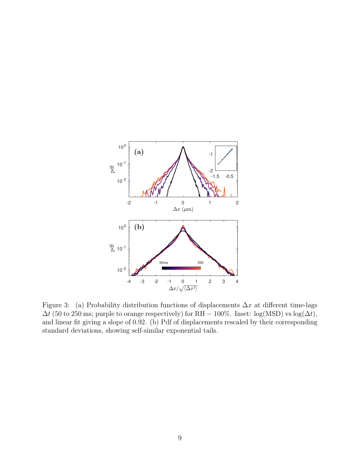<span id="page-8-0"></span>

Figure 3: (a) Probability distribution functions of displacements  $\Delta x$  at different time-lags  $\Delta t$  (50 to 250 ms; purple to orange respectively) for RH = 100%. Inset: log(MSD) vs log( $\Delta t$ ), and linear fit giving a slope of 0.92. (b) Pdf of displacements rescaled by their corresponding standard deviations, showing self-similar exponential tails.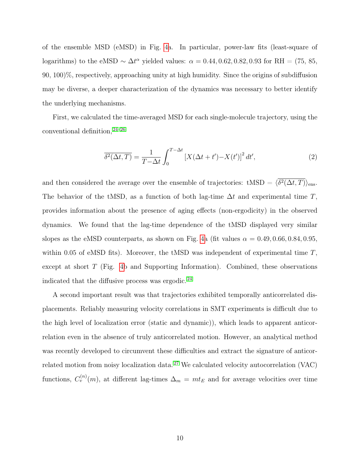of the ensemble MSD (eMSD) in Fig. [4a](#page-10-0). In particular, power-law fits (least-square of logarithms) to the eMSD  $\sim \Delta t^{\alpha}$  yielded values:  $\alpha = 0.44, 0.62, 0.82, 0.93$  for RH = (75, 85, 90, 100)%, respectively, approaching unity at high humidity. Since the origins of subdiffusion may be diverse, a deeper characterization of the dynamics was necessary to better identify the underlying mechanisms.

First, we calculated the time-averaged MSD for each single-molecule trajectory, using the conventional definition, [24](#page-19-5)[–26](#page-19-6)

$$
\overline{\delta^2(\Delta t, T)} = \frac{1}{T - \Delta t} \int_0^{T - \Delta t} \left[ X(\Delta t + t') - X(t') \right]^2 dt',\tag{2}
$$

and then considered the average over the ensemble of trajectories:  $tMSD = \langle \delta^2(\Delta t, T) \rangle_{\text{ens}}$ . The behavior of the tMSD, as a function of both lag-time  $\Delta t$  and experimental time T, provides information about the presence of aging effects (non-ergodicity) in the observed dynamics. We found that the lag-time dependence of the tMSD displayed very similar slopes as the eMSD counterparts, as shown on Fig. [4a](#page-10-0) (fit values  $\alpha = 0.49, 0.66, 0.84, 0.95,$ within 0.05 of eMSD fits). Moreover, the tMSD was independent of experimental time  $T$ , except at short T (Fig. [4b](#page-10-0) and Supporting Information). Combined, these observations indicated that the diffusive process was ergodic. [24](#page-19-5)

A second important result was that trajectories exhibited temporally anticorrelated displacements. Reliably measuring velocity correlations in SMT experiments is difficult due to the high level of localization error (static and dynamic)), which leads to apparent anticorrelation even in the absence of truly anticorrelated motion. However, an analytical method was recently developed to circumvent these difficulties and extract the signature of anticorrelated motion from noisy localization data. [27](#page-19-7) We calculated velocity autocorrelation (VAC) functions,  $C_v^{(n)}(m)$ , at different lag-times  $\Delta_m = m t_E$  and for average velocities over time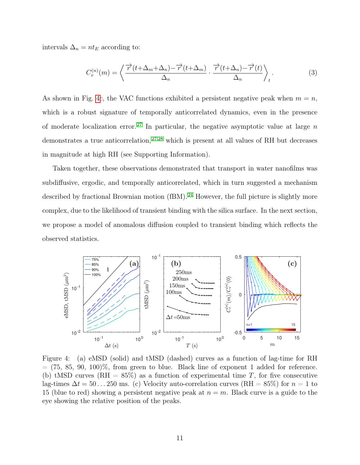intervals  $\Delta_n = nt_E$  according to:

$$
C_v^{(n)}(m) = \left\langle \frac{\overrightarrow{r}(t + \Delta_m + \Delta_n) - \overrightarrow{r}(t + \Delta_m)}{\Delta_n} \cdot \frac{\overrightarrow{r}(t + \Delta_n) - \overrightarrow{r}(t)}{\Delta_n} \right\rangle_t.
$$
 (3)

As shown in Fig. [4c](#page-10-0), the VAC functions exhibited a persistent negative peak when  $m = n$ , which is a robust signature of temporally anticorrelated dynamics, even in the presence of moderate localization error.<sup>[27](#page-19-7)</sup> In particular, the negative asymptotic value at large  $n$ demonstrates a true anticorrelation, <sup>[27](#page-19-7)[,28](#page-20-0)</sup> which is present at all values of RH but decreases in magnitude at high RH (see Supporting Information).

Taken together, these observations demonstrated that transport in water nanofilms was subdiffusive, ergodic, and temporally anticorrelated, which in turn suggested a mechanism described by fractional Brownian motion (fBM).<sup>[24](#page-19-5)</sup> However, the full picture is slightly more complex, due to the likelihood of transient binding with the silica surface. In the next section, we propose a model of anomalous diffusion coupled to transient binding which reflects the observed statistics.

<span id="page-10-0"></span>

Figure 4: (a) eMSD (solid) and tMSD (dashed) curves as a function of lag-time for RH  $=$  (75, 85, 90, 100)%, from green to blue. Black line of exponent 1 added for reference. (b) tMSD curves  $(RH = 85\%)$  as a function of experimental time T, for five consecutive lag-times  $\Delta t = 50...250$  ms. (c) Velocity auto-correlation curves (RH = 85%) for  $n = 1$  to 15 (blue to red) showing a persistent negative peak at  $n = m$ . Black curve is a guide to the eye showing the relative position of the peaks.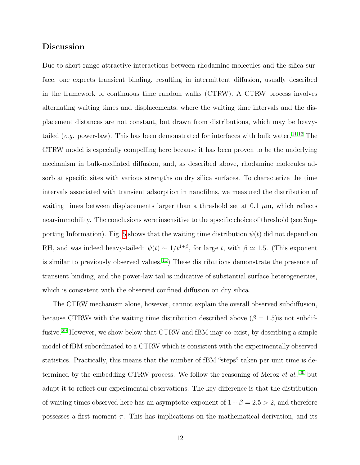#### Discussion

Due to short-range attractive interactions between rhodamine molecules and the silica surface, one expects transient binding, resulting in intermittent diffusion, usually described in the framework of continuous time random walks (CTRW). A CTRW process involves alternating waiting times and displacements, where the waiting time intervals and the displacement distances are not constant, but drawn from distributions, which may be heavy-tailed (e.g. power-law). This has been demonstrated for interfaces with bulk water.<sup>[11](#page-18-2)[,12](#page-18-3)</sup> The CTRW model is especially compelling here because it has been proven to be the underlying mechanism in bulk-mediated diffusion, and, as described above, rhodamine molecules adsorb at specific sites with various strengths on dry silica surfaces. To characterize the time intervals associated with transient adsorption in nanofilms, we measured the distribution of waiting times between displacements larger than a threshold set at 0.1  $\mu$ m, which reflects near-immobility. The conclusions were insensitive to the specific choice of threshold (see Sup-porting Information). Fig. [5](#page-12-0) shows that the waiting time distribution  $\psi(t)$  did not depend on RH, and was indeed heavy-tailed:  $\psi(t) \sim 1/t^{1+\beta}$ , for large t, with  $\beta \simeq 1.5$ . (This exponent is similar to previously observed values.<sup>[11](#page-18-2)</sup>) These distributions demonstrate the presence of transient binding, and the power-law tail is indicative of substantial surface heterogeneities, which is consistent with the observed confined diffusion on dry silica.

The CTRW mechanism alone, however, cannot explain the overall observed subdiffusion, because CTRWs with the waiting time distribution described above  $(\beta = 1.5)$  is not subdiffusive.[29](#page-20-1) However, we show below that CTRW and fBM may co-exist, by describing a simple model of fBM subordinated to a CTRW which is consistent with the experimentally observed statistics. Practically, this means that the number of fBM "steps" taken per unit time is determined by the embedding CTRW process. We follow the reasoning of Meroz  $et \ al.,$ <sup>[30](#page-20-2)</sup> but adapt it to reflect our experimental observations. The key difference is that the distribution of waiting times observed here has an asymptotic exponent of  $1 + \beta = 2.5 > 2$ , and therefore possesses a first moment  $\bar{\tau}$ . This has implications on the mathematical derivation, and its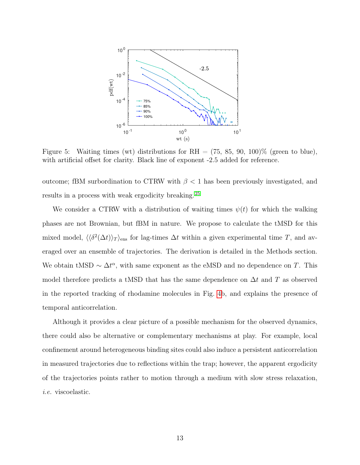<span id="page-12-0"></span>

Figure 5: Waiting times (wt) distributions for RH =  $(75, 85, 90, 100)\%$  (green to blue), with artificial offset for clarity. Black line of exponent -2.5 added for reference.

outcome; fBM surbordination to CTRW with  $\beta$  < 1 has been previously investigated, and results in a process with weak ergodicity breaking. [25](#page-19-8)

We consider a CTRW with a distribution of waiting times  $\psi(t)$  for which the walking phases are not Brownian, but fBM in nature. We propose to calculate the tMSD for this mixed model,  $\langle \langle \delta^2(\Delta t) \rangle_T \rangle_{\text{ens}}$  for lag-times  $\Delta t$  within a given experimental time T, and averaged over an ensemble of trajectories. The derivation is detailed in the Methods section. We obtain tMSD  $\sim \Delta t^{\alpha}$ , with same exponent as the eMSD and no dependence on T. This model therefore predicts a tMSD that has the same dependence on  $\Delta t$  and T as observed in the reported tracking of rhodamine molecules in Fig. [4b](#page-10-0), and explains the presence of temporal anticorrelation.

Although it provides a clear picture of a possible mechanism for the observed dynamics, there could also be alternative or complementary mechanisms at play. For example, local confinement around heterogeneous binding sites could also induce a persistent anticorrelation in measured trajectories due to reflections within the trap; however, the apparent ergodicity of the trajectories points rather to motion through a medium with slow stress relaxation, i.e. viscoelastic.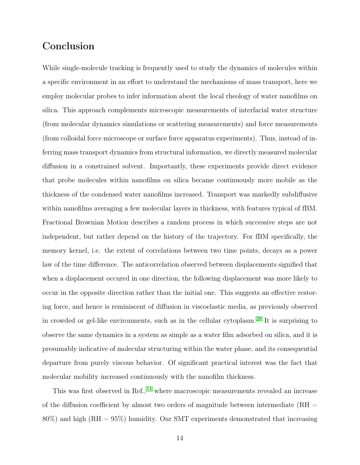## Conclusion

While single-molecule tracking is frequently used to study the dynamics of molecules within a specific environment in an effort to understand the mechanisms of mass transport, here we employ molecular probes to infer information about the local rheology of water nanofilms on silica. This approach complements microscopic measurements of interfacial water structure (from molecular dynamics simulations or scattering measurements) and force measurements (from colloidal force microscope or surface force apparatus experiments). Thus, instead of inferring mass transport dynamics from structural information, we directly measured molecular diffusion in a constrained solvent. Importantly, these experiments provide direct evidence that probe molecules within nanofilms on silica became continuously more mobile as the thickness of the condensed water nanofilms increased. Transport was markedly subdiffusive within nanofilms averaging a few molecular layers in thickness, with features typical of fBM. Fractional Brownian Motion describes a random process in which successive steps are not independent, but rather depend on the history of the trajectory. For fBM specifically, the memory kernel, i.e. the extent of correlations between two time points, decays as a power law of the time difference. The anticorrelation observed between displacements signified that when a displacement occured in one direction, the following displacement was more likely to occur in the opposite direction rather than the initial one. This suggests an effective restoring force, and hence is reminiscent of diffusion in viscoelastic media, as previously observed in crowded or gel-like environments, such as in the cellular cytoplasm. [28](#page-20-0) It is surprising to observe the same dynamics in a system as simple as a water film adsorbed on silica, and it is presumably indicative of molecular structuring within the water phase, and its consequential departure from purely viscous behavior. Of significant practical interest was the fact that molecular mobility increased continuously with the nanofilm thickness.

This was first observed in Ref.,  $^{14}$  $^{14}$  $^{14}$  where macroscopic measurements revealed an increase of the diffusion coefficient by almost two orders of magnitude between intermediate  $(RH =$ 80%) and high (RH = 95%) humidity. Our SMT experiments demonstrated that increasing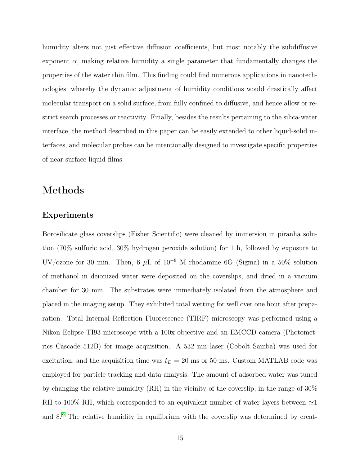humidity alters not just effective diffusion coefficients, but most notably the subdiffusive exponent  $\alpha$ , making relative humidity a single parameter that fundamentally changes the properties of the water thin film. This finding could find numerous applications in nanotechnologies, whereby the dynamic adjustment of humidity conditions would drastically affect molecular transport on a solid surface, from fully confined to diffusive, and hence allow or restrict search processes or reactivity. Finally, besides the results pertaining to the silica-water interface, the method described in this paper can be easily extended to other liquid-solid interfaces, and molecular probes can be intentionally designed to investigate specific properties of near-surface liquid films.

## Methods

#### Experiments

Borosilicate glass coverslips (Fisher Scientific) were cleaned by immersion in piranha solution (70% sulfuric acid, 30% hydrogen peroxide solution) for 1 h, followed by exposure to UV/ozone for 30 min. Then, 6  $\mu$ L of 10<sup>-8</sup> M rhodamine 6G (Sigma) in a 50% solution of methanol in deionized water were deposited on the coverslips, and dried in a vacuum chamber for 30 min. The substrates were immediately isolated from the atmosphere and placed in the imaging setup. They exhibited total wetting for well over one hour after preparation. Total Internal Reflection Fluorescence (TIRF) microscopy was performed using a Nikon Eclipse TI93 microscope with a 100x objective and an EMCCD camera (Photometrics Cascade 512B) for image acquisition. A 532 nm laser (Cobolt Samba) was used for excitation, and the acquisition time was  $t_E = 20$  ms or 50 ms. Custom MATLAB code was employed for particle tracking and data analysis. The amount of adsorbed water was tuned by changing the relative humidity (RH) in the vicinity of the coverslip, in the range of 30% RH to 100% RH, which corresponded to an equivalent number of water layers between  $\simeq$ 1 and 8.[9](#page-18-0) The relative humidity in equilibrium with the coverslip was determined by creat-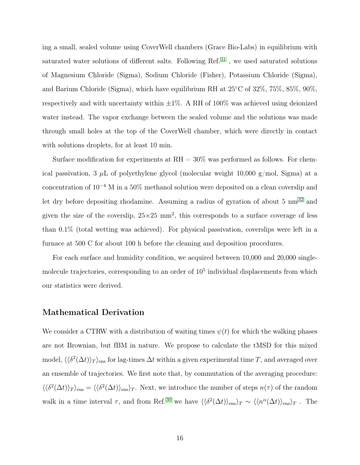ing a small, sealed volume using CoverWell chambers (Grace Bio-Labs) in equilibrium with saturated water solutions of different salts. Following Ref.<sup>[31](#page-20-3)</sup>, we used saturated solutions of Magnesium Chloride (Sigma), Sodium Chloride (Fisher), Potassium Chloride (Sigma), and Barium Chloride (Sigma), which have equilibrium RH at 25◦C of 32%, 75%, 85%, 90%, respectively and with uncertainty within  $\pm 1\%$ . A RH of 100% was achieved using deionized water instead. The vapor exchange between the sealed volume and the solutions was made through small holes at the top of the CoverWell chamber, which were directly in contact with solutions droplets, for at least 10 min.

Surface modification for experiments at  $RH = 30\%$  was performed as follows. For chemical passivation, 3  $\mu$ L of polyethylene glycol (molecular weight 10,000 g/mol, Sigma) at a concentration of 10<sup>−</sup><sup>4</sup> M in a 50% methanol solution were deposited on a clean coverslip and let dry before depositing rhodamine. Assuming a radius of gyration of about 5  $\text{nm}^{32}$  $\text{nm}^{32}$  $\text{nm}^{32}$  and given the size of the coverslip,  $25 \times 25$  mm<sup>2</sup>, this corresponds to a surface coverage of less than 0.1% (total wetting was achieved). For physical passivation, coverslips were left in a furnace at 500 C for about 100 h before the cleaning and deposition procedures.

For each surface and humidity condition, we acquired between 10,000 and 20,000 singlemolecule trajectories, corresponding to an order of  $10<sup>5</sup>$  individual displacements from which our statistics were derived.

#### Mathematical Derivation

We consider a CTRW with a distribution of waiting times  $\psi(t)$  for which the walking phases are not Brownian, but fBM in nature. We propose to calculate the tMSD for this mixed model,  $\langle\langle \delta^2(\Delta t)\rangle_T\rangle_{\rm ens}$  for lag-times  $\Delta t$  within a given experimental time T, and averaged over an ensemble of trajectories. We first note that, by commutation of the averaging procedure:  $\langle \langle \delta^2(\Delta t) \rangle_T \rangle_{\text{ens}} = \langle \langle \delta^2(\Delta t) \rangle_{\text{ens}} \rangle_T$ . Next, we introduce the number of steps  $n(\tau)$  of the random walk in a time interval  $\tau$ , and from Ref.<sup>[30](#page-20-2)</sup> we have  $\langle\langle \delta^2(\Delta t)\rangle_{\text{ens}}\rangle_T \sim \langle\langle n^{\alpha}(\Delta t)\rangle_{\text{ens}}\rangle_T$ . The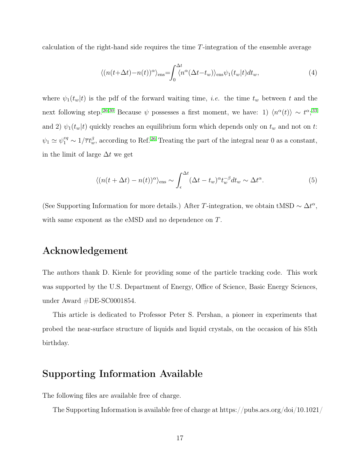calculation of the right-hand side requires the time T-integration of the ensemble average

$$
\langle (n(t+\Delta t) - n(t))^{\alpha} \rangle_{\text{ens}} = \int_0^{\Delta t} \langle n^{\alpha} (\Delta t - t_w) \rangle_{\text{ens}} \psi_1(t_w | t) dt_w, \tag{4}
$$

where  $\psi_1(t_w|t)$  is the pdf of the forward waiting time, *i.e.* the time  $t_w$  between t and the next following step.<sup>[26,](#page-19-6)[30](#page-20-2)</sup> Because  $\psi$  possesses a first moment, we have: 1)  $\langle n^{\alpha}(t) \rangle \sim t^{\alpha}$ ;<sup>[33](#page-20-5)</sup> and 2)  $\psi_1(t_w|t)$  quickly reaches an equilibrium form which depends only on  $t_w$  and not on  $t$ :  $\psi_1 \simeq \psi_1^{eq} \sim 1/\overline{\tau}t_w^{\beta}$ , according to Ref.<sup>[26](#page-19-6)</sup> Treating the part of the integral near 0 as a constant, in the limit of large  $\Delta t$  we get

$$
\langle (n(t + \Delta t) - n(t))^{\alpha} \rangle_{\text{ens}} \sim \int_{\epsilon}^{\Delta t} (\Delta t - t_w)^{\alpha} t_w^{-\beta} dt_w \sim \Delta t^{\alpha}.
$$
 (5)

(See Supporting Information for more details.) After T-integration, we obtain tMSD  $\sim \Delta t^{\alpha}$ , with same exponent as the eMSD and no dependence on T.

## Acknowledgement

The authors thank D. Kienle for providing some of the particle tracking code. This work was supported by the U.S. Department of Energy, Office of Science, Basic Energy Sciences, under Award #DE-SC0001854.

This article is dedicated to Professor Peter S. Pershan, a pioneer in experiments that probed the near-surface structure of liquids and liquid crystals, on the occasion of his 85th birthday.

## Supporting Information Available

The following files are available free of charge.

The Supporting Information is available free of charge at https://pubs.acs.org/doi/10.1021/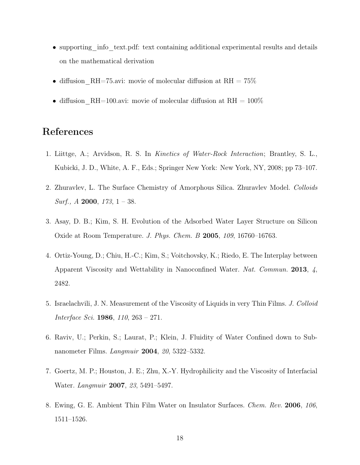- supporting info text.pdf: text containing additional experimental results and details on the mathematical derivation
- diffusion RH=75.avi: movie of molecular diffusion at RH =  $75\%$
- diffusion RH=100.avi: movie of molecular diffusion at RH =  $100\%$

## References

- <span id="page-17-0"></span>1. Liittge, A.; Arvidson, R. S. In Kinetics of Water-Rock Interaction; Brantley, S. L., Kubicki, J. D., White, A. F., Eds.; Springer New York: New York, NY, 2008; pp 73–107.
- <span id="page-17-1"></span>2. Zhuravlev, L. The Surface Chemistry of Amorphous Silica. Zhuravlev Model. Colloids *Surf.*,  $A$  **2000**,  $173$ ,  $1 - 38$ .
- <span id="page-17-2"></span>3. Asay, D. B.; Kim, S. H. Evolution of the Adsorbed Water Layer Structure on Silicon Oxide at Room Temperature. J. Phys. Chem. B 2005, 109, 16760–16763.
- <span id="page-17-3"></span>4. Ortiz-Young, D.; Chiu, H.-C.; Kim, S.; Voitchovsky, K.; Riedo, E. The Interplay between Apparent Viscosity and Wettability in Nanoconfined Water. Nat. Commun. 2013, 4, 2482.
- <span id="page-17-4"></span>5. Israelachvili, J. N. Measurement of the Viscosity of Liquids in very Thin Films. J. Colloid Interface Sci. 1986, 110, 263 – 271.
- <span id="page-17-5"></span>6. Raviv, U.; Perkin, S.; Laurat, P.; Klein, J. Fluidity of Water Confined down to Subnanometer Films. Langmuir 2004, 20, 5322–5332.
- <span id="page-17-6"></span>7. Goertz, M. P.; Houston, J. E.; Zhu, X.-Y. Hydrophilicity and the Viscosity of Interfacial Water. Langmuir 2007, 23, 5491–5497.
- <span id="page-17-7"></span>8. Ewing, G. E. Ambient Thin Film Water on Insulator Surfaces. Chem. Rev. 2006, 106, 1511–1526.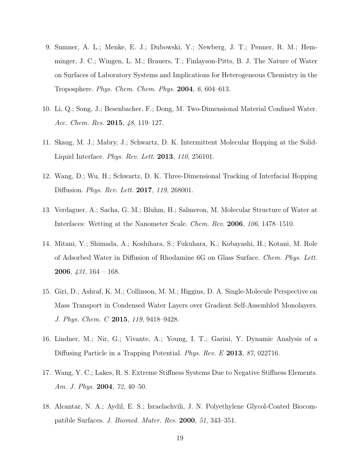- <span id="page-18-0"></span>9. Sumner, A. L.; Menke, E. J.; Dubowski, Y.; Newberg, J. T.; Penner, R. M.; Hemminger, J. C.; Wingen, L. M.; Brauers, T.; Finlayson-Pitts, B. J. The Nature of Water on Surfaces of Laboratory Systems and Implications for Heterogeneous Chemistry in the Troposphere. *Phys. Chem. Chem. Phys.*  $2004, 6, 604-613$ .
- <span id="page-18-1"></span>10. Li, Q.; Song, J.; Besenbacher, F.; Dong, M. Two-Dimensional Material Confined Water. Acc. Chem. Res. 2015, 48, 119-127.
- <span id="page-18-2"></span>11. Skaug, M. J.; Mabry, J.; Schwartz, D. K. Intermittent Molecular Hopping at the Solid-Liquid Interface. Phys. Rev. Lett. 2013, 110, 256101.
- <span id="page-18-3"></span>12. Wang, D.; Wu, H.; Schwartz, D. K. Three-Dimensional Tracking of Interfacial Hopping Diffusion. Phys. Rev. Lett. 2017, 119, 268001.
- <span id="page-18-4"></span>13. Verdaguer, A.; Sacha, G. M.; Bluhm, H.; Salmeron, M. Molecular Structure of Water at Interfaces: Wetting at the Nanometer Scale. Chem. Rev. 2006, 106, 1478–1510.
- <span id="page-18-5"></span>14. Mitani, Y.; Shimada, A.; Koshihara, S.; Fukuhara, K.; Kobayashi, H.; Kotani, M. Role of Adsorbed Water in Diffusion of Rhodamine 6G on Glass Surface. Chem. Phys. Lett. **2006**,  $\frac{131}{164} - 168$ .
- <span id="page-18-6"></span>15. Giri, D.; Ashraf, K. M.; Collinson, M. M.; Higgins, D. A. Single-Molecule Perspective on Mass Transport in Condensed Water Layers over Gradient Self-Assembled Monolayers. J. Phys. Chem. C 2015, 119, 9418–9428.
- <span id="page-18-7"></span>16. Lindner, M.; Nir, G.; Vivante, A.; Young, I. T.; Garini, Y. Dynamic Analysis of a Diffusing Particle in a Trapping Potential. Phys. Rev. E 2013, 87, 022716.
- <span id="page-18-8"></span>17. Wang, Y. C.; Lakes, R. S. Extreme Stiffness Systems Due to Negative Stiffness Elements. Am. J. Phys. 2004, 72, 40-50.
- <span id="page-18-9"></span>18. Alcantar, N. A.; Aydil, E. S.; Israelachvili, J. N. Polyethylene Glycol-Coated Biocompatible Surfaces. J. Biomed. Mater. Res. 2000, 51, 343–351.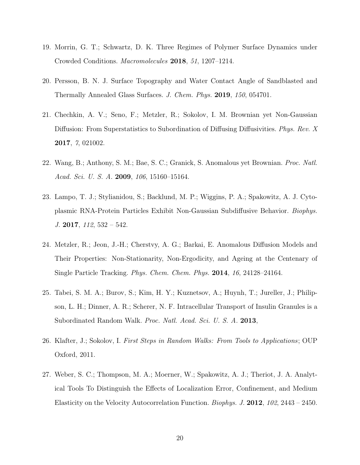- <span id="page-19-0"></span>19. Morrin, G. T.; Schwartz, D. K. Three Regimes of Polymer Surface Dynamics under Crowded Conditions. Macromolecules 2018, 51, 1207–1214.
- <span id="page-19-1"></span>20. Persson, B. N. J. Surface Topography and Water Contact Angle of Sandblasted and Thermally Annealed Glass Surfaces. J. Chem. Phys. 2019, 150, 054701.
- <span id="page-19-2"></span>21. Chechkin, A. V.; Seno, F.; Metzler, R.; Sokolov, I. M. Brownian yet Non-Gaussian Diffusion: From Superstatistics to Subordination of Diffusing Diffusivities. Phys. Rev. X 2017, 7, 021002.
- <span id="page-19-3"></span>22. Wang, B.; Anthony, S. M.; Bae, S. C.; Granick, S. Anomalous yet Brownian. Proc. Natl. Acad. Sci. U. S. A. 2009, 106, 15160-15164.
- <span id="page-19-4"></span>23. Lampo, T. J.; Stylianidou, S.; Backlund, M. P.; Wiggins, P. A.; Spakowitz, A. J. Cytoplasmic RNA-Protein Particles Exhibit Non-Gaussian Subdiffusive Behavior. Biophys.  $J. 2017, 112, 532 - 542.$
- <span id="page-19-5"></span>24. Metzler, R.; Jeon, J.-H.; Cherstvy, A. G.; Barkai, E. Anomalous Diffusion Models and Their Properties: Non-Stationarity, Non-Ergodicity, and Ageing at the Centenary of Single Particle Tracking. Phys. Chem. Chem. Phys. 2014, 16, 24128–24164.
- <span id="page-19-8"></span>25. Tabei, S. M. A.; Burov, S.; Kim, H. Y.; Kuznetsov, A.; Huynh, T.; Jureller, J.; Philipson, L. H.; Dinner, A. R.; Scherer, N. F. Intracellular Transport of Insulin Granules is a Subordinated Random Walk. Proc. Natl. Acad. Sci. U. S. A. 2013,
- <span id="page-19-6"></span>26. Klafter, J.; Sokolov, I. First Steps in Random Walks: From Tools to Applications; OUP Oxford, 2011.
- <span id="page-19-7"></span>27. Weber, S. C.; Thompson, M. A.; Moerner, W.; Spakowitz, A. J.; Theriot, J. A. Analytical Tools To Distinguish the Effects of Localization Error, Confinement, and Medium Elasticity on the Velocity Autocorrelation Function. Biophys. J. 2012, 102, 2443 – 2450.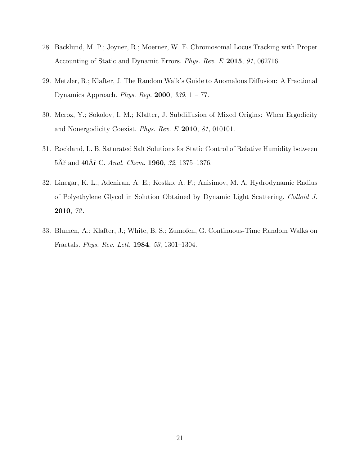- <span id="page-20-0"></span>28. Backlund, M. P.; Joyner, R.; Moerner, W. E. Chromosomal Locus Tracking with Proper Accounting of Static and Dynamic Errors. Phys. Rev. E 2015, 91, 062716.
- <span id="page-20-1"></span>29. Metzler, R.; Klafter, J. The Random Walk's Guide to Anomalous Diffusion: A Fractional Dynamics Approach. Phys. Rep. 2000, 339, 1 – 77.
- <span id="page-20-2"></span>30. Meroz, Y.; Sokolov, I. M.; Klafter, J. Subdiffusion of Mixed Origins: When Ergodicity and Nonergodicity Coexist. Phys. Rev. E 2010, 81, 010101.
- <span id="page-20-3"></span>31. Rockland, L. B. Saturated Salt Solutions for Static Control of Relative Humidity between 5Âř and 40Âř C. Anal. Chem. 1960, 32, 1375–1376.
- <span id="page-20-4"></span>32. Linegar, K. L.; Adeniran, A. E.; Kostko, A. F.; Anisimov, M. A. Hydrodynamic Radius of Polyethylene Glycol in Solution Obtained by Dynamic Light Scattering. Colloid J. 2010, 72 .
- <span id="page-20-5"></span>33. Blumen, A.; Klafter, J.; White, B. S.; Zumofen, G. Continuous-Time Random Walks on Fractals. Phys. Rev. Lett. 1984, 53, 1301–1304.